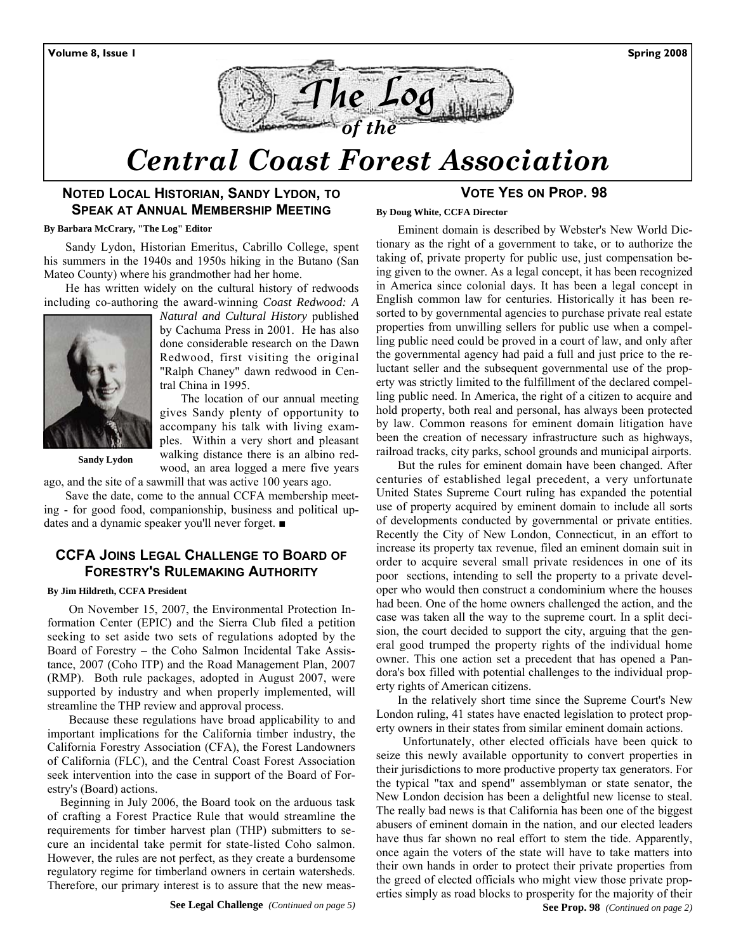

# *Central Coast Forest Association*

#### **NOTED LOCAL HISTORIAN, SANDY LYDON, TO SPEAK AT ANNUAL MEMBERSHIP MEETING**

#### **By Barbara McCrary, "The Log" Editor**

Sandy Lydon, Historian Emeritus, Cabrillo College, spent his summers in the 1940s and 1950s hiking in the Butano (San Mateo County) where his grandmother had her home.

He has written widely on the cultural history of redwoods including co-authoring the award-winning *Coast Redwood: A* 



*Natural and Cultural History* published by Cachuma Press in 2001. He has also done considerable research on the Dawn Redwood, first visiting the original "Ralph Chaney" dawn redwood in Central China in 1995.

 The location of our annual meeting gives Sandy plenty of opportunity to accompany his talk with living examples. Within a very short and pleasant walking distance there is an albino red-

 **Sandy Lydon** 

wood, an area logged a mere five years ago, and the site of a sawmill that was active 100 years ago.

Save the date, come to the annual CCFA membership meeting - for good food, companionship, business and political updates and a dynamic speaker you'll never forget. ■

## **CCFA JOINS LEGAL CHALLENGE TO BOARD OF FORESTRY'S RULEMAKING AUTHORITY**

#### **By Jim Hildreth, CCFA President**

On November 15, 2007, the Environmental Protection Information Center (EPIC) and the Sierra Club filed a petition seeking to set aside two sets of regulations adopted by the Board of Forestry – the Coho Salmon Incidental Take Assistance, 2007 (Coho ITP) and the Road Management Plan, 2007 (RMP). Both rule packages, adopted in August 2007, were supported by industry and when properly implemented, will streamline the THP review and approval process.

Because these regulations have broad applicability to and important implications for the California timber industry, the California Forestry Association (CFA), the Forest Landowners of California (FLC), and the Central Coast Forest Association seek intervention into the case in support of the Board of Forestry's (Board) actions.

Beginning in July 2006, the Board took on the arduous task of crafting a Forest Practice Rule that would streamline the requirements for timber harvest plan (THP) submitters to secure an incidental take permit for state-listed Coho salmon. However, the rules are not perfect, as they create a burdensome regulatory regime for timberland owners in certain watersheds. Therefore, our primary interest is to assure that the new meas-

#### **VOTE YES ON PROP. 98**

#### **By Doug White, CCFA Director**

Eminent domain is described by Webster's New World Dictionary as the right of a government to take, or to authorize the taking of, private property for public use, just compensation being given to the owner. As a legal concept, it has been recognized in America since colonial days. It has been a legal concept in English common law for centuries. Historically it has been resorted to by governmental agencies to purchase private real estate properties from unwilling sellers for public use when a compelling public need could be proved in a court of law, and only after the governmental agency had paid a full and just price to the reluctant seller and the subsequent governmental use of the property was strictly limited to the fulfillment of the declared compelling public need. In America, the right of a citizen to acquire and hold property, both real and personal, has always been protected by law. Common reasons for eminent domain litigation have been the creation of necessary infrastructure such as highways, railroad tracks, city parks, school grounds and municipal airports.

But the rules for eminent domain have been changed. After centuries of established legal precedent, a very unfortunate United States Supreme Court ruling has expanded the potential use of property acquired by eminent domain to include all sorts of developments conducted by governmental or private entities. Recently the City of New London, Connecticut, in an effort to increase its property tax revenue, filed an eminent domain suit in order to acquire several small private residences in one of its poor sections, intending to sell the property to a private developer who would then construct a condominium where the houses had been. One of the home owners challenged the action, and the case was taken all the way to the supreme court. In a split decision, the court decided to support the city, arguing that the general good trumped the property rights of the individual home owner. This one action set a precedent that has opened a Pandora's box filled with potential challenges to the individual property rights of American citizens.

In the relatively short time since the Supreme Court's New London ruling, 41 states have enacted legislation to protect property owners in their states from similar eminent domain actions.

 Unfortunately, other elected officials have been quick to seize this newly available opportunity to convert properties in their jurisdictions to more productive property tax generators. For the typical "tax and spend" assemblyman or state senator, the New London decision has been a delightful new license to steal. The really bad news is that California has been one of the biggest abusers of eminent domain in the nation, and our elected leaders have thus far shown no real effort to stem the tide. Apparently, once again the voters of the state will have to take matters into their own hands in order to protect their private properties from the greed of elected officials who might view those private properties simply as road blocks to prosperity for the majority of their **See Prop. 98** *(Continued on page 2)*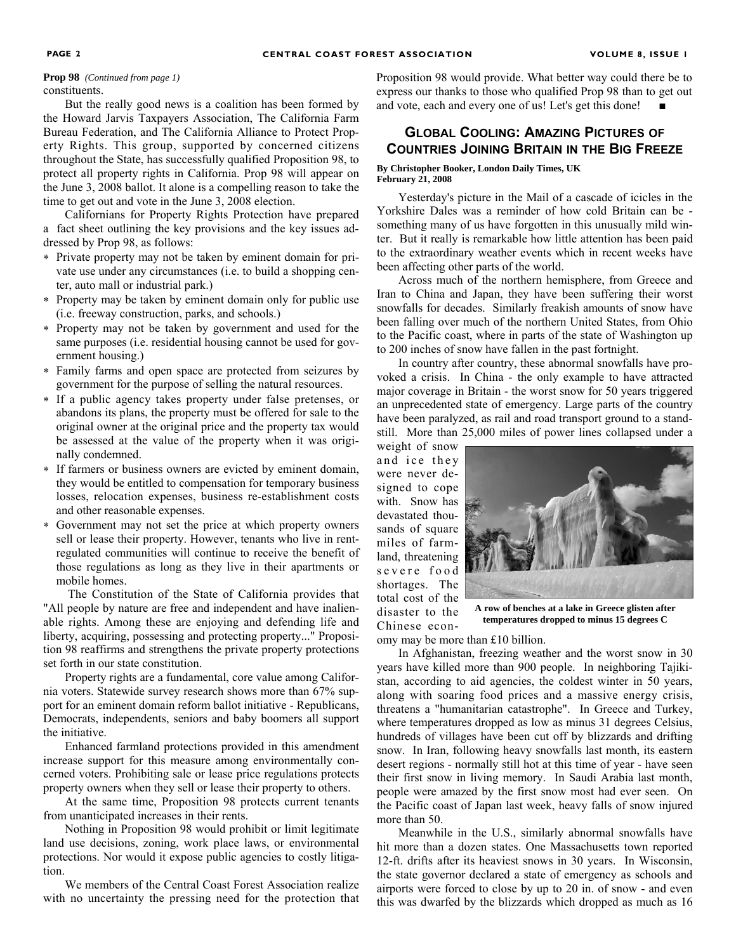# constituents.

But the really good news is a coalition has been formed by the Howard Jarvis Taxpayers Association, The California Farm Bureau Federation, and The California Alliance to Protect Property Rights. This group, supported by concerned citizens throughout the State, has successfully qualified Proposition 98, to protect all property rights in California. Prop 98 will appear on the June 3, 2008 ballot. It alone is a compelling reason to take the time to get out and vote in the June 3, 2008 election.

Californians for Property Rights Protection have prepared a fact sheet outlining the key provisions and the key issues addressed by Prop 98, as follows:

- ∗ Private property may not be taken by eminent domain for private use under any circumstances (i.e. to build a shopping center, auto mall or industrial park.)
- ∗ Property may be taken by eminent domain only for public use (i.e. freeway construction, parks, and schools.)
- ∗ Property may not be taken by government and used for the same purposes (i.e. residential housing cannot be used for government housing.)
- ∗ Family farms and open space are protected from seizures by government for the purpose of selling the natural resources.
- ∗ If a public agency takes property under false pretenses, or abandons its plans, the property must be offered for sale to the original owner at the original price and the property tax would be assessed at the value of the property when it was originally condemned.
- ∗ If farmers or business owners are evicted by eminent domain, they would be entitled to compensation for temporary business losses, relocation expenses, business re-establishment costs and other reasonable expenses.
- ∗ Government may not set the price at which property owners sell or lease their property. However, tenants who live in rentregulated communities will continue to receive the benefit of those regulations as long as they live in their apartments or mobile homes.

 The Constitution of the State of California provides that "All people by nature are free and independent and have inalienable rights. Among these are enjoying and defending life and liberty, acquiring, possessing and protecting property..." Proposition 98 reaffirms and strengthens the private property protections set forth in our state constitution.

Property rights are a fundamental, core value among California voters. Statewide survey research shows more than 67% support for an eminent domain reform ballot initiative - Republicans, Democrats, independents, seniors and baby boomers all support the initiative.

Enhanced farmland protections provided in this amendment increase support for this measure among environmentally concerned voters. Prohibiting sale or lease price regulations protects property owners when they sell or lease their property to others.

At the same time, Proposition 98 protects current tenants from unanticipated increases in their rents.

Nothing in Proposition 98 would prohibit or limit legitimate land use decisions, zoning, work place laws, or environmental protections. Nor would it expose public agencies to costly litigation.

We members of the Central Coast Forest Association realize with no uncertainty the pressing need for the protection that

**Prop 98** *(Continued from page 1)* **Proposition 98 would provide. What better way could there be to** express our thanks to those who qualified Prop 98 than to get out and vote, each and every one of us! Let's get this done!

## **GLOBAL COOLING: AMAZING PICTURES OF COUNTRIES JOINING BRITAIN IN THE BIG FREEZE**

#### **By Christopher Booker, London Daily Times, UK February 21, 2008**

Yesterday's picture in the Mail of a cascade of icicles in the Yorkshire Dales was a reminder of how cold Britain can be something many of us have forgotten in this unusually mild winter. But it really is remarkable how little attention has been paid to the extraordinary weather events which in recent weeks have been affecting other parts of the world.

Across much of the northern hemisphere, from Greece and Iran to China and Japan, they have been suffering their worst snowfalls for decades. Similarly freakish amounts of snow have been falling over much of the northern United States, from Ohio to the Pacific coast, where in parts of the state of Washington up to 200 inches of snow have fallen in the past fortnight.

In country after country, these abnormal snowfalls have provoked a crisis. In China - the only example to have attracted major coverage in Britain - the worst snow for 50 years triggered an unprecedented state of emergency. Large parts of the country have been paralyzed, as rail and road transport ground to a standstill. More than 25,000 miles of power lines collapsed under a

weight of snow and ice they were never designed to cope with. Snow has devastated thousands of square miles of farmland, threatening severe food shortages. The total cost of the disaster to the Chinese econ-



**A row of benches at a lake in Greece glisten after temperatures dropped to minus 15 degrees C** 

omy may be more than £10 billion.

In Afghanistan, freezing weather and the worst snow in 30 years have killed more than 900 people. In neighboring Tajikistan, according to aid agencies, the coldest winter in 50 years, along with soaring food prices and a massive energy crisis, threatens a "humanitarian catastrophe". In Greece and Turkey, where temperatures dropped as low as minus 31 degrees Celsius, hundreds of villages have been cut off by blizzards and drifting snow. In Iran, following heavy snowfalls last month, its eastern desert regions - normally still hot at this time of year - have seen their first snow in living memory. In Saudi Arabia last month, people were amazed by the first snow most had ever seen. On the Pacific coast of Japan last week, heavy falls of snow injured more than 50.

Meanwhile in the U.S., similarly abnormal snowfalls have hit more than a dozen states. One Massachusetts town reported 12-ft. drifts after its heaviest snows in 30 years. In Wisconsin, the state governor declared a state of emergency as schools and airports were forced to close by up to 20 in. of snow - and even this was dwarfed by the blizzards which dropped as much as 16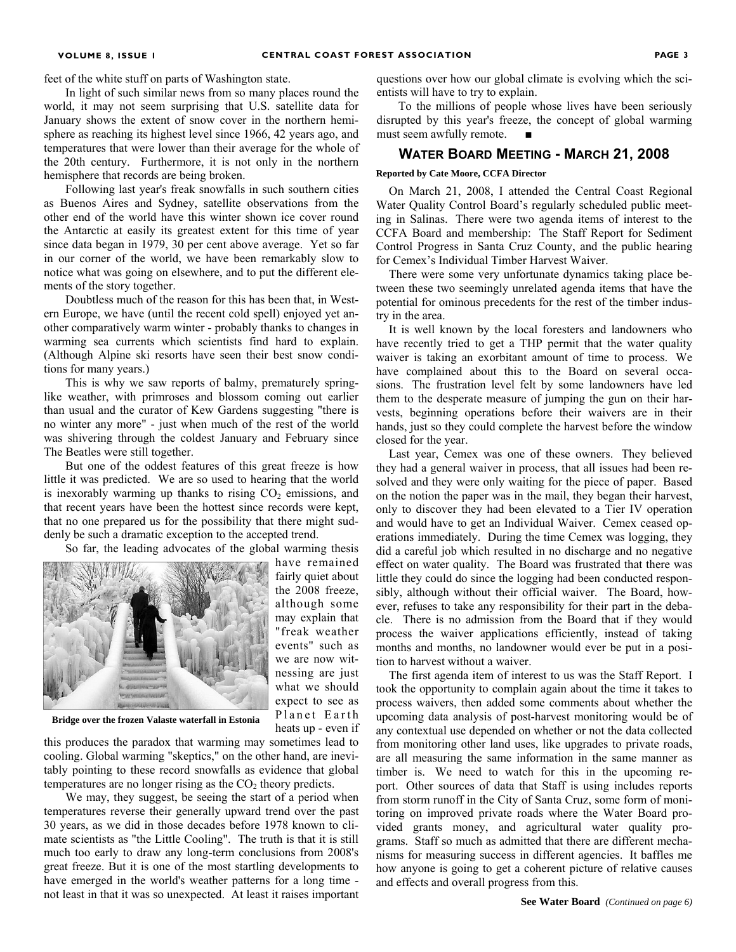feet of the white stuff on parts of Washington state.

In light of such similar news from so many places round the world, it may not seem surprising that U.S. satellite data for January shows the extent of snow cover in the northern hemisphere as reaching its highest level since 1966, 42 years ago, and temperatures that were lower than their average for the whole of the 20th century. Furthermore, it is not only in the northern hemisphere that records are being broken.

Following last year's freak snowfalls in such southern cities as Buenos Aires and Sydney, satellite observations from the other end of the world have this winter shown ice cover round the Antarctic at easily its greatest extent for this time of year since data began in 1979, 30 per cent above average. Yet so far in our corner of the world, we have been remarkably slow to notice what was going on elsewhere, and to put the different elements of the story together.

Doubtless much of the reason for this has been that, in Western Europe, we have (until the recent cold spell) enjoyed yet another comparatively warm winter - probably thanks to changes in warming sea currents which scientists find hard to explain. (Although Alpine ski resorts have seen their best snow conditions for many years.)

This is why we saw reports of balmy, prematurely springlike weather, with primroses and blossom coming out earlier than usual and the curator of Kew Gardens suggesting "there is no winter any more" - just when much of the rest of the world was shivering through the coldest January and February since The Beatles were still together.

But one of the oddest features of this great freeze is how little it was predicted. We are so used to hearing that the world is inexorably warming up thanks to rising  $CO<sub>2</sub>$  emissions, and that recent years have been the hottest since records were kept, that no one prepared us for the possibility that there might suddenly be such a dramatic exception to the accepted trend.

So far, the leading advocates of the global warming thesis



have remained fairly quiet about the 2008 freeze, although some may explain that "freak weather events" such as we are now witnessing are just what we should expect to see as Planet Earth heats up - even if

**Bridge over the frozen Valaste waterfall in Estonia** 

this produces the paradox that warming may sometimes lead to cooling. Global warming "skeptics," on the other hand, are inevitably pointing to these record snowfalls as evidence that global temperatures are no longer rising as the  $CO<sub>2</sub>$  theory predicts.

We may, they suggest, be seeing the start of a period when temperatures reverse their generally upward trend over the past 30 years, as we did in those decades before 1978 known to climate scientists as "the Little Cooling". The truth is that it is still much too early to draw any long-term conclusions from 2008's great freeze. But it is one of the most startling developments to have emerged in the world's weather patterns for a long time not least in that it was so unexpected. At least it raises important

questions over how our global climate is evolving which the scientists will have to try to explain.

To the millions of people whose lives have been seriously disrupted by this year's freeze, the concept of global warming must seem awfully remote. ■

#### **WATER BOARD MEETING - MARCH 21, 2008**

#### **Reported by Cate Moore, CCFA Director**

On March 21, 2008, I attended the Central Coast Regional Water Quality Control Board's regularly scheduled public meeting in Salinas. There were two agenda items of interest to the CCFA Board and membership: The Staff Report for Sediment Control Progress in Santa Cruz County, and the public hearing for Cemex's Individual Timber Harvest Waiver.

There were some very unfortunate dynamics taking place between these two seemingly unrelated agenda items that have the potential for ominous precedents for the rest of the timber industry in the area.

It is well known by the local foresters and landowners who have recently tried to get a THP permit that the water quality waiver is taking an exorbitant amount of time to process. We have complained about this to the Board on several occasions. The frustration level felt by some landowners have led them to the desperate measure of jumping the gun on their harvests, beginning operations before their waivers are in their hands, just so they could complete the harvest before the window closed for the year.

Last year, Cemex was one of these owners. They believed they had a general waiver in process, that all issues had been resolved and they were only waiting for the piece of paper. Based on the notion the paper was in the mail, they began their harvest, only to discover they had been elevated to a Tier IV operation and would have to get an Individual Waiver. Cemex ceased operations immediately. During the time Cemex was logging, they did a careful job which resulted in no discharge and no negative effect on water quality. The Board was frustrated that there was little they could do since the logging had been conducted responsibly, although without their official waiver. The Board, however, refuses to take any responsibility for their part in the debacle. There is no admission from the Board that if they would process the waiver applications efficiently, instead of taking months and months, no landowner would ever be put in a position to harvest without a waiver.

The first agenda item of interest to us was the Staff Report. I took the opportunity to complain again about the time it takes to process waivers, then added some comments about whether the upcoming data analysis of post-harvest monitoring would be of any contextual use depended on whether or not the data collected from monitoring other land uses, like upgrades to private roads, are all measuring the same information in the same manner as timber is. We need to watch for this in the upcoming report. Other sources of data that Staff is using includes reports from storm runoff in the City of Santa Cruz, some form of monitoring on improved private roads where the Water Board provided grants money, and agricultural water quality programs. Staff so much as admitted that there are different mechanisms for measuring success in different agencies. It baffles me how anyone is going to get a coherent picture of relative causes and effects and overall progress from this.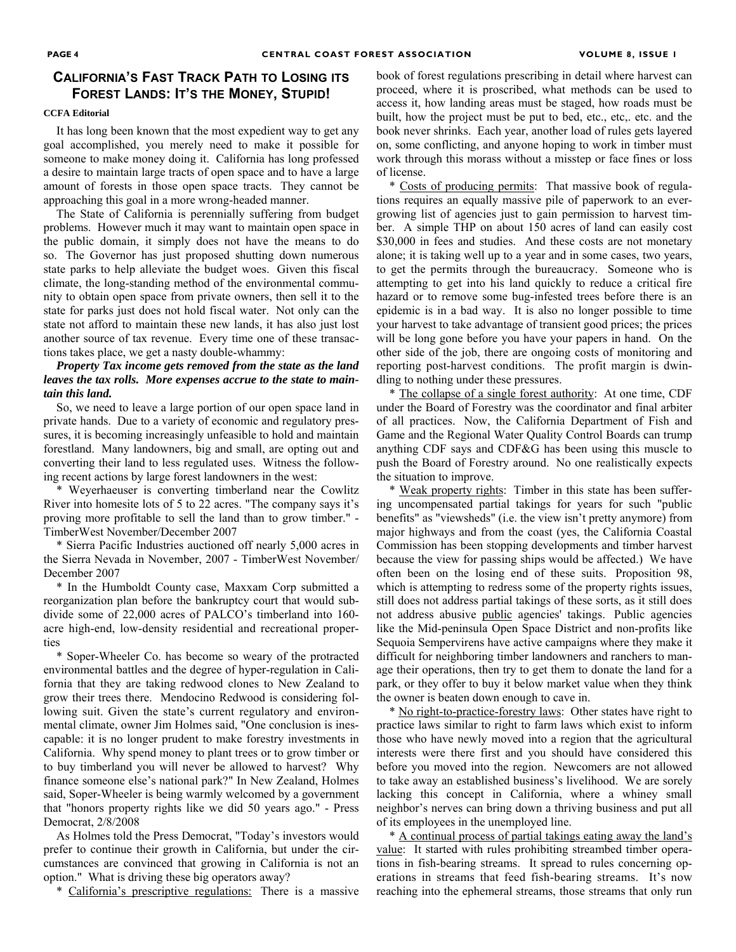#### **CALIFORNIA'S FAST TRACK PATH TO LOSING ITS FOREST LANDS: IT'S THE MONEY, STUPID!**

#### **CCFA Editorial**

It has long been known that the most expedient way to get any goal accomplished, you merely need to make it possible for someone to make money doing it. California has long professed a desire to maintain large tracts of open space and to have a large amount of forests in those open space tracts. They cannot be approaching this goal in a more wrong-headed manner.

The State of California is perennially suffering from budget problems. However much it may want to maintain open space in the public domain, it simply does not have the means to do so. The Governor has just proposed shutting down numerous state parks to help alleviate the budget woes. Given this fiscal climate, the long-standing method of the environmental community to obtain open space from private owners, then sell it to the state for parks just does not hold fiscal water. Not only can the state not afford to maintain these new lands, it has also just lost another source of tax revenue. Every time one of these transactions takes place, we get a nasty double-whammy:

#### *Property Tax income gets removed from the state as the land leaves the tax rolls. More expenses accrue to the state to maintain this land.*

So, we need to leave a large portion of our open space land in private hands. Due to a variety of economic and regulatory pressures, it is becoming increasingly unfeasible to hold and maintain forestland. Many landowners, big and small, are opting out and converting their land to less regulated uses. Witness the following recent actions by large forest landowners in the west:

\* Weyerhaeuser is converting timberland near the Cowlitz River into homesite lots of 5 to 22 acres. "The company says it's proving more profitable to sell the land than to grow timber." - TimberWest November/December 2007

\* Sierra Pacific Industries auctioned off nearly 5,000 acres in the Sierra Nevada in November, 2007 - TimberWest November/ December 2007

\* In the Humboldt County case, Maxxam Corp submitted a reorganization plan before the bankruptcy court that would subdivide some of 22,000 acres of PALCO's timberland into 160 acre high-end, low-density residential and recreational properties

\* Soper-Wheeler Co. has become so weary of the protracted environmental battles and the degree of hyper-regulation in California that they are taking redwood clones to New Zealand to grow their trees there. Mendocino Redwood is considering following suit. Given the state's current regulatory and environmental climate, owner Jim Holmes said, "One conclusion is inescapable: it is no longer prudent to make forestry investments in California. Why spend money to plant trees or to grow timber or to buy timberland you will never be allowed to harvest? Why finance someone else's national park?" In New Zealand, Holmes said, Soper-Wheeler is being warmly welcomed by a government that "honors property rights like we did 50 years ago." - Press Democrat, 2/8/2008

As Holmes told the Press Democrat, "Today's investors would prefer to continue their growth in California, but under the circumstances are convinced that growing in California is not an option." What is driving these big operators away?

\* California's prescriptive regulations: There is a massive

book of forest regulations prescribing in detail where harvest can proceed, where it is proscribed, what methods can be used to access it, how landing areas must be staged, how roads must be built, how the project must be put to bed, etc., etc,. etc. and the book never shrinks. Each year, another load of rules gets layered on, some conflicting, and anyone hoping to work in timber must work through this morass without a misstep or face fines or loss of license.

\* Costs of producing permits: That massive book of regulations requires an equally massive pile of paperwork to an evergrowing list of agencies just to gain permission to harvest timber. A simple THP on about 150 acres of land can easily cost \$30,000 in fees and studies. And these costs are not monetary alone; it is taking well up to a year and in some cases, two years, to get the permits through the bureaucracy. Someone who is attempting to get into his land quickly to reduce a critical fire hazard or to remove some bug-infested trees before there is an epidemic is in a bad way. It is also no longer possible to time your harvest to take advantage of transient good prices; the prices will be long gone before you have your papers in hand. On the other side of the job, there are ongoing costs of monitoring and reporting post-harvest conditions. The profit margin is dwindling to nothing under these pressures.

\* The collapse of a single forest authority: At one time, CDF under the Board of Forestry was the coordinator and final arbiter of all practices. Now, the California Department of Fish and Game and the Regional Water Quality Control Boards can trump anything CDF says and CDF&G has been using this muscle to push the Board of Forestry around. No one realistically expects the situation to improve.

\* Weak property rights: Timber in this state has been suffering uncompensated partial takings for years for such "public benefits" as "viewsheds" (i.e. the view isn't pretty anymore) from major highways and from the coast (yes, the California Coastal Commission has been stopping developments and timber harvest because the view for passing ships would be affected.) We have often been on the losing end of these suits. Proposition 98, which is attempting to redress some of the property rights issues, still does not address partial takings of these sorts, as it still does not address abusive public agencies' takings. Public agencies like the Mid-peninsula Open Space District and non-profits like Sequoia Sempervirens have active campaigns where they make it difficult for neighboring timber landowners and ranchers to manage their operations, then try to get them to donate the land for a park, or they offer to buy it below market value when they think the owner is beaten down enough to cave in.

\* No right-to-practice-forestry laws: Other states have right to practice laws similar to right to farm laws which exist to inform those who have newly moved into a region that the agricultural interests were there first and you should have considered this before you moved into the region. Newcomers are not allowed to take away an established business's livelihood. We are sorely lacking this concept in California, where a whiney small neighbor's nerves can bring down a thriving business and put all of its employees in the unemployed line.

\* A continual process of partial takings eating away the land's value: It started with rules prohibiting streambed timber operations in fish-bearing streams. It spread to rules concerning operations in streams that feed fish-bearing streams. It's now reaching into the ephemeral streams, those streams that only run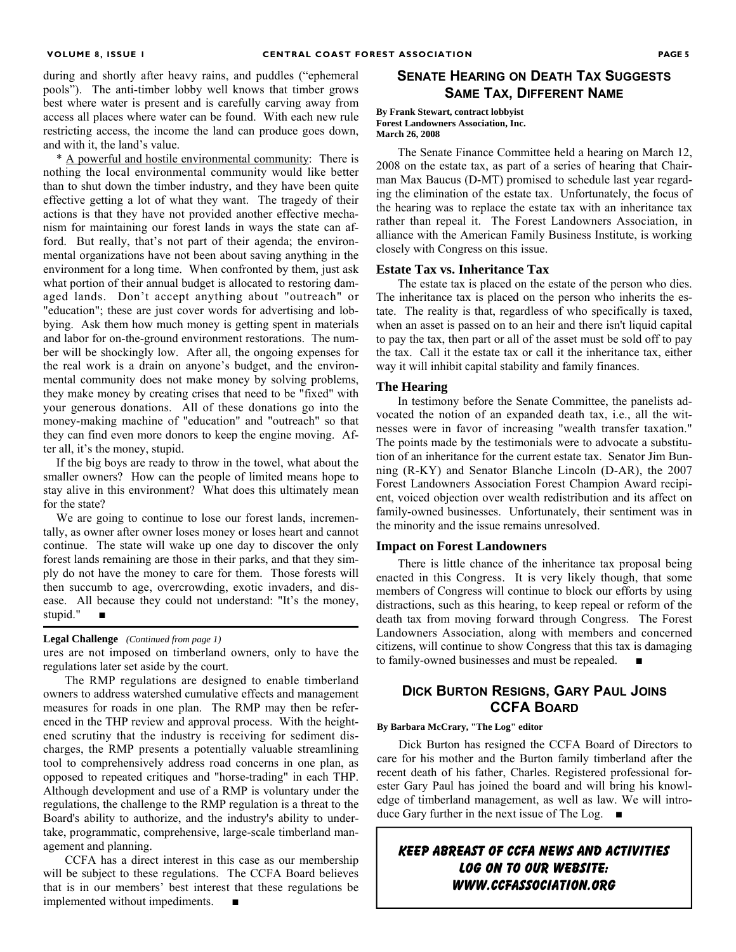during and shortly after heavy rains, and puddles ("ephemeral pools"). The anti-timber lobby well knows that timber grows best where water is present and is carefully carving away from access all places where water can be found. With each new rule restricting access, the income the land can produce goes down, and with it, the land's value.

\* A powerful and hostile environmental community: There is nothing the local environmental community would like better than to shut down the timber industry, and they have been quite effective getting a lot of what they want. The tragedy of their actions is that they have not provided another effective mechanism for maintaining our forest lands in ways the state can afford. But really, that's not part of their agenda; the environmental organizations have not been about saving anything in the environment for a long time. When confronted by them, just ask what portion of their annual budget is allocated to restoring damaged lands. Don't accept anything about "outreach" or "education"; these are just cover words for advertising and lobbying. Ask them how much money is getting spent in materials and labor for on-the-ground environment restorations. The number will be shockingly low. After all, the ongoing expenses for the real work is a drain on anyone's budget, and the environmental community does not make money by solving problems, they make money by creating crises that need to be "fixed" with your generous donations. All of these donations go into the money-making machine of "education" and "outreach" so that they can find even more donors to keep the engine moving. After all, it's the money, stupid.

If the big boys are ready to throw in the towel, what about the smaller owners? How can the people of limited means hope to stay alive in this environment? What does this ultimately mean for the state?

We are going to continue to lose our forest lands, incrementally, as owner after owner loses money or loses heart and cannot continue. The state will wake up one day to discover the only forest lands remaining are those in their parks, and that they simply do not have the money to care for them. Those forests will then succumb to age, overcrowding, exotic invaders, and disease. All because they could not understand: "It's the money, stupid."

#### **Legal Challenge** *(Continued from page 1)*

ures are not imposed on timberland owners, only to have the regulations later set aside by the court.

The RMP regulations are designed to enable timberland owners to address watershed cumulative effects and management measures for roads in one plan. The RMP may then be referenced in the THP review and approval process. With the heightened scrutiny that the industry is receiving for sediment discharges, the RMP presents a potentially valuable streamlining tool to comprehensively address road concerns in one plan, as opposed to repeated critiques and "horse-trading" in each THP. Although development and use of a RMP is voluntary under the regulations, the challenge to the RMP regulation is a threat to the Board's ability to authorize, and the industry's ability to undertake, programmatic, comprehensive, large-scale timberland management and planning.

CCFA has a direct interest in this case as our membership will be subject to these regulations. The CCFA Board believes that is in our members' best interest that these regulations be implemented without impediments.

#### **SENATE HEARING ON DEATH TAX SUGGESTS SAME TAX, DIFFERENT NAME**

#### **By Frank Stewart, contract lobbyist Forest Landowners Association, Inc. March 26, 2008**

The Senate Finance Committee held a hearing on March 12, 2008 on the estate tax, as part of a series of hearing that Chairman Max Baucus (D-MT) promised to schedule last year regarding the elimination of the estate tax. Unfortunately, the focus of the hearing was to replace the estate tax with an inheritance tax rather than repeal it. The Forest Landowners Association, in alliance with the American Family Business Institute, is working closely with Congress on this issue.

#### **Estate Tax vs. Inheritance Tax**

The estate tax is placed on the estate of the person who dies. The inheritance tax is placed on the person who inherits the estate. The reality is that, regardless of who specifically is taxed, when an asset is passed on to an heir and there isn't liquid capital to pay the tax, then part or all of the asset must be sold off to pay the tax. Call it the estate tax or call it the inheritance tax, either way it will inhibit capital stability and family finances.

#### **The Hearing**

In testimony before the Senate Committee, the panelists advocated the notion of an expanded death tax, i.e., all the witnesses were in favor of increasing "wealth transfer taxation." The points made by the testimonials were to advocate a substitution of an inheritance for the current estate tax. Senator Jim Bunning (R-KY) and Senator Blanche Lincoln (D-AR), the 2007 Forest Landowners Association Forest Champion Award recipient, voiced objection over wealth redistribution and its affect on family-owned businesses. Unfortunately, their sentiment was in the minority and the issue remains unresolved.

#### **Impact on Forest Landowners**

There is little chance of the inheritance tax proposal being enacted in this Congress. It is very likely though, that some members of Congress will continue to block our efforts by using distractions, such as this hearing, to keep repeal or reform of the death tax from moving forward through Congress. The Forest Landowners Association, along with members and concerned citizens, will continue to show Congress that this tax is damaging to family-owned businesses and must be repealed.

#### **DICK BURTON RESIGNS, GARY PAUL JOINS CCFA BOARD**

#### **By Barbara McCrary, "The Log" editor**

Dick Burton has resigned the CCFA Board of Directors to care for his mother and the Burton family timberland after the recent death of his father, Charles. Registered professional forester Gary Paul has joined the board and will bring his knowledge of timberland management, as well as law. We will introduce Gary further in the next issue of The Log. ■

#### **Keep abreast of CCFA news and activities Log on to our website: www.ccfassociation.org**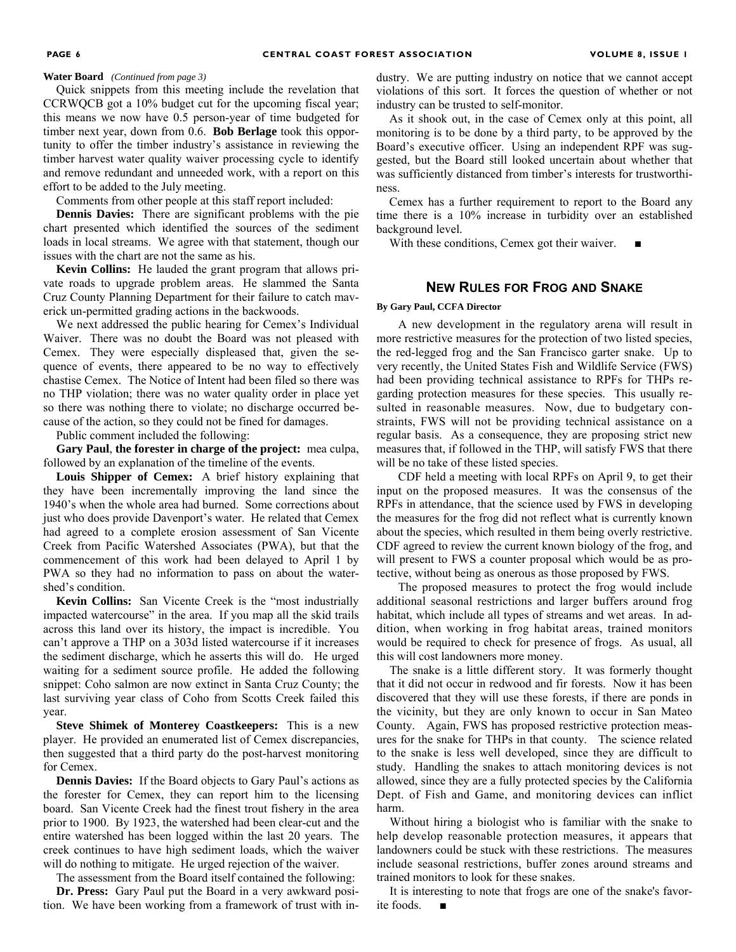Quick snippets from this meeting include the revelation that CCRWQCB got a 10% budget cut for the upcoming fiscal year; this means we now have 0.5 person-year of time budgeted for timber next year, down from 0.6. **Bob Berlage** took this opportunity to offer the timber industry's assistance in reviewing the timber harvest water quality waiver processing cycle to identify and remove redundant and unneeded work, with a report on this effort to be added to the July meeting.

Comments from other people at this staff report included:

**Dennis Davies:** There are significant problems with the pie chart presented which identified the sources of the sediment loads in local streams. We agree with that statement, though our issues with the chart are not the same as his.

**Kevin Collins:** He lauded the grant program that allows private roads to upgrade problem areas. He slammed the Santa Cruz County Planning Department for their failure to catch maverick un-permitted grading actions in the backwoods.

We next addressed the public hearing for Cemex's Individual Waiver. There was no doubt the Board was not pleased with Cemex. They were especially displeased that, given the sequence of events, there appeared to be no way to effectively chastise Cemex. The Notice of Intent had been filed so there was no THP violation; there was no water quality order in place yet so there was nothing there to violate; no discharge occurred because of the action, so they could not be fined for damages.

Public comment included the following:

**Gary Paul**, **the forester in charge of the project:** mea culpa, followed by an explanation of the timeline of the events.

**Louis Shipper of Cemex:** A brief history explaining that they have been incrementally improving the land since the 1940's when the whole area had burned. Some corrections about just who does provide Davenport's water. He related that Cemex had agreed to a complete erosion assessment of San Vicente Creek from Pacific Watershed Associates (PWA), but that the commencement of this work had been delayed to April 1 by PWA so they had no information to pass on about the watershed's condition.

**Kevin Collins:** San Vicente Creek is the "most industrially impacted watercourse" in the area. If you map all the skid trails across this land over its history, the impact is incredible. You can't approve a THP on a 303d listed watercourse if it increases the sediment discharge, which he asserts this will do. He urged waiting for a sediment source profile. He added the following snippet: Coho salmon are now extinct in Santa Cruz County; the last surviving year class of Coho from Scotts Creek failed this year.

**Steve Shimek of Monterey Coastkeepers:** This is a new player. He provided an enumerated list of Cemex discrepancies, then suggested that a third party do the post-harvest monitoring for Cemex.

**Dennis Davies:** If the Board objects to Gary Paul's actions as the forester for Cemex, they can report him to the licensing board. San Vicente Creek had the finest trout fishery in the area prior to 1900. By 1923, the watershed had been clear-cut and the entire watershed has been logged within the last 20 years. The creek continues to have high sediment loads, which the waiver will do nothing to mitigate. He urged rejection of the waiver.

The assessment from the Board itself contained the following:

**Dr. Press:** Gary Paul put the Board in a very awkward position. We have been working from a framework of trust with in-

**Water Board** *(Continued from page 3)* dustry. We are putting industry on notice that we cannot accept violations of this sort. It forces the question of whether or not industry can be trusted to self-monitor.

> As it shook out, in the case of Cemex only at this point, all monitoring is to be done by a third party, to be approved by the Board's executive officer. Using an independent RPF was suggested, but the Board still looked uncertain about whether that was sufficiently distanced from timber's interests for trustworthiness.

> Cemex has a further requirement to report to the Board any time there is a 10% increase in turbidity over an established background level.

With these conditions, Cemex got their waiver.

#### **NEW RULES FOR FROG AND SNAKE**

#### **By Gary Paul, CCFA Director**

A new development in the regulatory arena will result in more restrictive measures for the protection of two listed species, the red-legged frog and the San Francisco garter snake. Up to very recently, the United States Fish and Wildlife Service (FWS) had been providing technical assistance to RPFs for THPs regarding protection measures for these species. This usually resulted in reasonable measures. Now, due to budgetary constraints, FWS will not be providing technical assistance on a regular basis. As a consequence, they are proposing strict new measures that, if followed in the THP, will satisfy FWS that there will be no take of these listed species.

CDF held a meeting with local RPFs on April 9, to get their input on the proposed measures. It was the consensus of the RPFs in attendance, that the science used by FWS in developing the measures for the frog did not reflect what is currently known about the species, which resulted in them being overly restrictive. CDF agreed to review the current known biology of the frog, and will present to FWS a counter proposal which would be as protective, without being as onerous as those proposed by FWS.

The proposed measures to protect the frog would include additional seasonal restrictions and larger buffers around frog habitat, which include all types of streams and wet areas. In addition, when working in frog habitat areas, trained monitors would be required to check for presence of frogs. As usual, all this will cost landowners more money.

The snake is a little different story. It was formerly thought that it did not occur in redwood and fir forests. Now it has been discovered that they will use these forests, if there are ponds in the vicinity, but they are only known to occur in San Mateo County. Again, FWS has proposed restrictive protection measures for the snake for THPs in that county. The science related to the snake is less well developed, since they are difficult to study. Handling the snakes to attach monitoring devices is not allowed, since they are a fully protected species by the California Dept. of Fish and Game, and monitoring devices can inflict harm.

Without hiring a biologist who is familiar with the snake to help develop reasonable protection measures, it appears that landowners could be stuck with these restrictions. The measures include seasonal restrictions, buffer zones around streams and trained monitors to look for these snakes.

It is interesting to note that frogs are one of the snake's favorite foods. ■

#### **PAGE 6**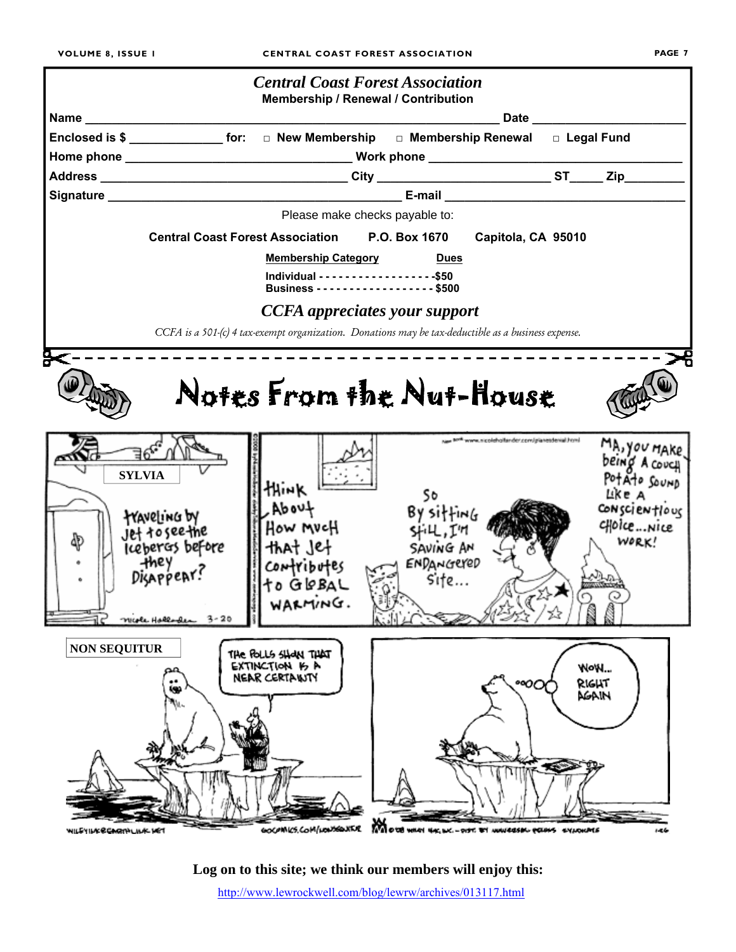

**Log on to this site; we think our members will enjoy this:** http://www.lewrockwell.com/blog/lewrw/archives/013117.html